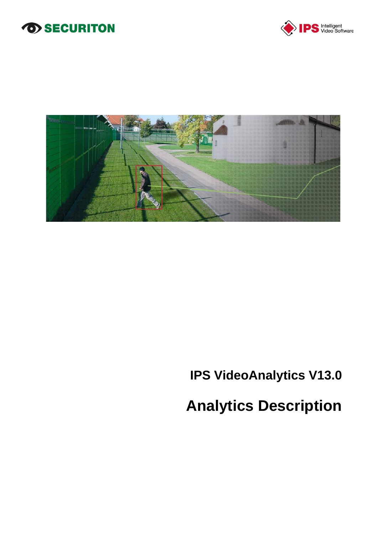# *SECURITON*





# **IPS VideoAnalytics V13.0**

# **Analytics Description**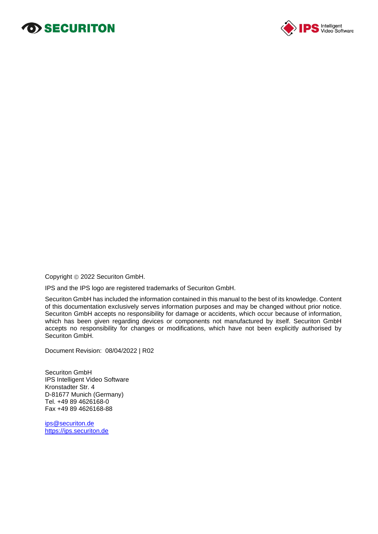# **O>SECURITON**



Copyright © 2022 Securiton GmbH.

IPS and the IPS logo are registered trademarks of Securiton GmbH.

Securiton GmbH has included the information contained in this manual to the best of its knowledge. Content of this documentation exclusively serves information purposes and may be changed without prior notice. Securiton GmbH accepts no responsibility for damage or accidents, which occur because of information, which has been given regarding devices or components not manufactured by itself. Securiton GmbH accepts no responsibility for changes or modifications, which have not been explicitly authorised by Securiton GmbH.

Document Revision: 08/04/2022 | R02

Securiton GmbH IPS Intelligent Video Software Kronstadter Str. 4 D-81677 Munich (Germany) Tel. +49 89 4626168-0 Fax +49 89 4626168-88

ips@securiton.de [https://ips.securiton.de](https://ips.securiton.de/)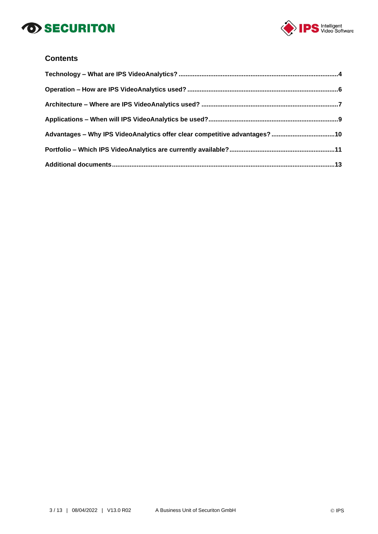# *SECURITON*



## **Contents**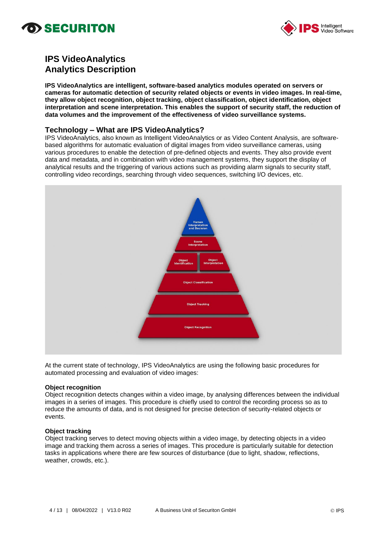# o) SECURITON



# **IPS VideoAnalytics Analytics Description**

**IPS VideoAnalytics are intelligent, software-based analytics modules operated on servers or cameras for automatic detection of security related objects or events in video images. In real-time, they allow object recognition, object tracking, object classification, object identification, object interpretation and scene interpretation. This enables the support of security staff, the reduction of data volumes and the improvement of the effectiveness of video surveillance systems.**

### **Technology – What are IPS VideoAnalytics?**

IPS VideoAnalytics, also known as Intelligent VideoAnalytics or as Video Content Analysis, are softwarebased algorithms for automatic evaluation of digital images from video surveillance cameras, using various procedures to enable the detection of pre-defined objects and events. They also provide event data and metadata, and in combination with video management systems, they support the display of analytical results and the triggering of various actions such as providing alarm signals to security staff, controlling video recordings, searching through video sequences, switching I/O devices, etc.



At the current state of technology, IPS VideoAnalytics are using the following basic procedures for automated processing and evaluation of video images:

### **Object recognition**

Object recognition detects changes within a video image, by analysing differences between the individual images in a series of images. This procedure is chiefly used to control the recording process so as to reduce the amounts of data, and is not designed for precise detection of security-related objects or events.

### **Object tracking**

Object tracking serves to detect moving objects within a video image, by detecting objects in a video image and tracking them across a series of images. This procedure is particularly suitable for detection tasks in applications where there are few sources of disturbance (due to light, shadow, reflections, weather, crowds, etc.).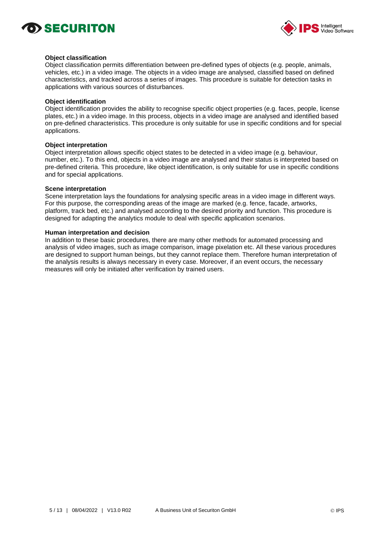



#### **Object classification**

Object classification permits differentiation between pre-defined types of objects (e.g. people, animals, vehicles, etc.) in a video image. The objects in a video image are analysed, classified based on defined characteristics, and tracked across a series of images. This procedure is suitable for detection tasks in applications with various sources of disturbances.

#### **Object identification**

Object identification provides the ability to recognise specific object properties (e.g. faces, people, license plates, etc.) in a video image. In this process, objects in a video image are analysed and identified based on pre-defined characteristics. This procedure is only suitable for use in specific conditions and for special applications.

#### **Object interpretation**

Object interpretation allows specific object states to be detected in a video image (e.g. behaviour, number, etc.). To this end, objects in a video image are analysed and their status is interpreted based on pre-defined criteria. This procedure, like object identification, is only suitable for use in specific conditions and for special applications.

#### **Scene interpretation**

Scene interpretation lays the foundations for analysing specific areas in a video image in different ways. For this purpose, the corresponding areas of the image are marked (e.g. fence, facade, artworks, platform, track bed, etc.) and analysed according to the desired priority and function. This procedure is designed for adapting the analytics module to deal with specific application scenarios.

#### **Human interpretation and decision**

In addition to these basic procedures, there are many other methods for automated processing and analysis of video images, such as image comparison, image pixelation etc. All these various procedures are designed to support human beings, but they cannot replace them. Therefore human interpretation of the analysis results is always necessary in every case. Moreover, if an event occurs, the necessary measures will only be initiated after verification by trained users.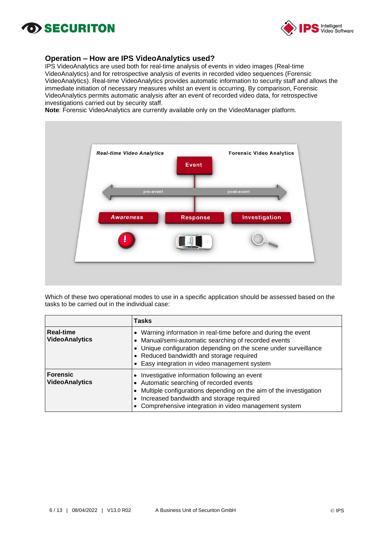# **OD SECURITON**



## **Operation – How are IPS VideoAnalytics used?**

IPS VideoAnalytics are used both for real-time analysis of events in video images (Real-time VideoAnalytics) and for retrospective analysis of events in recorded video sequences (Forensic VideoAnalytics). Real-time VideoAnalytics provides automatic information to security staff and allows the immediate initiation of necessary measures whilst an event is occurring. By comparison, Forensic VideoAnalytics permits automatic analysis after an event of recorded video data, for retrospective investigations carried out by security staff.

**Note**: Forensic VideoAnalytics are currently available only on the VideoManager platform.



Which of these two operational modes to use in a specific application should be assessed based on the tasks to be carried out in the individual case:

|                                           | Tasks                                                                                                                                                                                                                                                                                   |
|-------------------------------------------|-----------------------------------------------------------------------------------------------------------------------------------------------------------------------------------------------------------------------------------------------------------------------------------------|
| <b>Real-time</b><br><b>VideoAnalytics</b> | • Warning information in real-time before and during the event<br>• Manual/semi-automatic searching of recorded events<br>• Unique configuration depending on the scene under surveillance<br>• Reduced bandwidth and storage required<br>• Easy integration in video management system |
| <b>Forensic</b><br><b>VideoAnalytics</b>  | Investigative information following an event<br>Automatic searching of recorded events<br>Multiple configurations depending on the aim of the investigation<br>Increased bandwidth and storage required<br>Comprehensive integration in video management system                         |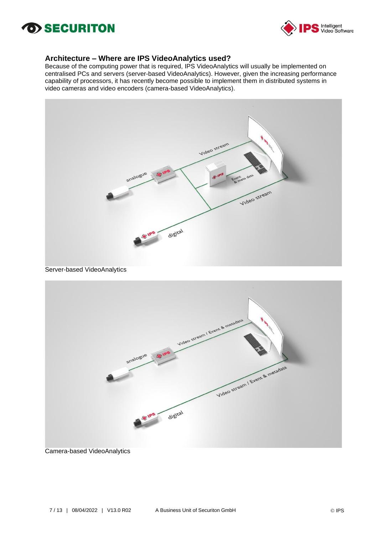# *SECURITON*



### **Architecture – Where are IPS VideoAnalytics used?**

Because of the computing power that is required, IPS VideoAnalytics will usually be implemented on centralised PCs and servers (server-based VideoAnalytics). However, given the increasing performance capability of processors, it has recently become possible to implement them in distributed systems in video cameras and video encoders (camera-based VideoAnalytics).



Server-based VideoAnalytics



Camera-based VideoAnalytics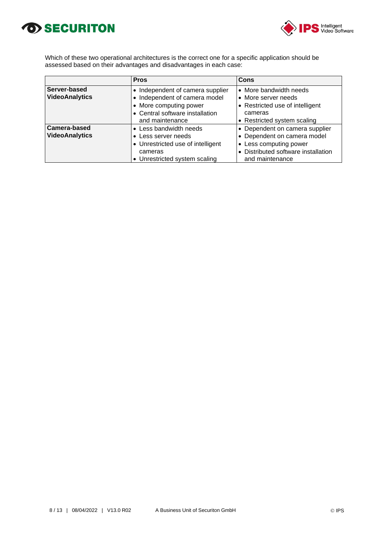



Which of these two operational architectures is the correct one for a specific application should be assessed based on their advantages and disadvantages in each case:

|                                              | <b>Pros</b>                                                                                                              | Cons                                                                                                                                              |
|----------------------------------------------|--------------------------------------------------------------------------------------------------------------------------|---------------------------------------------------------------------------------------------------------------------------------------------------|
| Server-based<br><b>VideoAnalytics</b>        | Independent of camera supplier<br>Independent of camera model<br>• More computing power                                  | • More bandwidth needs<br>• More server needs<br>• Restricted use of intelligent                                                                  |
|                                              | • Central software installation<br>and maintenance                                                                       | cameras<br>• Restricted system scaling                                                                                                            |
| <b>Camera-based</b><br><b>VideoAnalytics</b> | Less bandwidth needs<br>Less server needs<br>• Unrestricted use of intelligent<br>cameras<br>Unrestricted system scaling | • Dependent on camera supplier<br>• Dependent on camera model<br>• Less computing power<br>• Distributed software installation<br>and maintenance |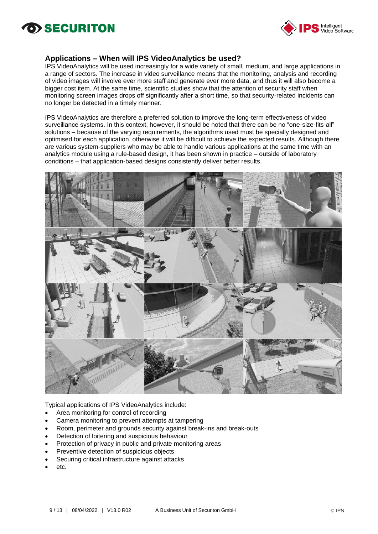# O> SECURITON



### **Applications – When will IPS VideoAnalytics be used?**

IPS VideoAnalytics will be used increasingly for a wide variety of small, medium, and large applications in a range of sectors. The increase in video surveillance means that the monitoring, analysis and recording of video images will involve ever more staff and generate ever more data, and thus it will also become a bigger cost item. At the same time, scientific studies show that the attention of security staff when monitoring screen images drops off significantly after a short time, so that security-related incidents can no longer be detected in a timely manner.

IPS VideoAnalytics are therefore a preferred solution to improve the long-term effectiveness of video surveillance systems. In this context, however, it should be noted that there can be no "one-size-fits-all" solutions – because of the varying requirements, the algorithms used must be specially designed and optimised for each application, otherwise it will be difficult to achieve the expected results. Although there are various system-suppliers who may be able to handle various applications at the same time with an analytics module using a rule-based design, it has been shown in practice – outside of laboratory conditions – that application-based designs consistently deliver better results.



Typical applications of IPS VideoAnalytics include:

- Area monitoring for control of recording
- Camera monitoring to prevent attempts at tampering
- Room, perimeter and grounds security against break-ins and break-outs
- Detection of loitering and suspicious behaviour
- Protection of privacy in public and private monitoring areas
- Preventive detection of suspicious objects
- Securing critical infrastructure against attacks
- etc.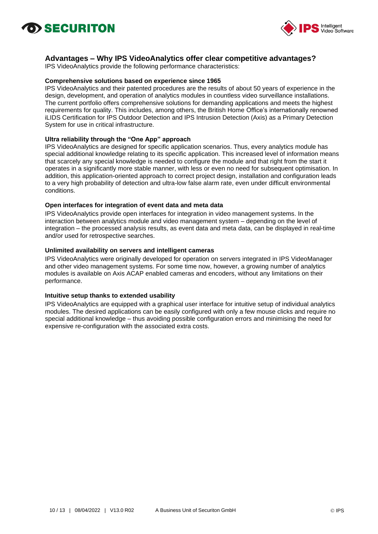



### **Advantages – Why IPS VideoAnalytics offer clear competitive advantages?**

IPS VideoAnalytics provide the following performance characteristics:

### **Comprehensive solutions based on experience since 1965**

IPS VideoAnalytics and their patented procedures are the results of about 50 years of experience in the design, development, and operation of analytics modules in countless video surveillance installations. The current portfolio offers comprehensive solutions for demanding applications and meets the highest requirements for quality. This includes, among others, the British Home Office's internationally renowned iLIDS Certification for IPS Outdoor Detection and IPS Intrusion Detection (Axis) as a Primary Detection System for use in critical infrastructure.

### **Ultra reliability through the "One App" approach**

IPS VideoAnalytics are designed for specific application scenarios. Thus, every analytics module has special additional knowledge relating to its specific application. This increased level of information means that scarcely any special knowledge is needed to configure the module and that right from the start it operates in a significantly more stable manner, with less or even no need for subsequent optimisation. In addition, this application-oriented approach to correct project design, installation and configuration leads to a very high probability of detection and ultra-low false alarm rate, even under difficult environmental conditions.

#### **Open interfaces for integration of event data and meta data**

IPS VideoAnalytics provide open interfaces for integration in video management systems. In the interaction between analytics module and video management system – depending on the level of integration – the processed analysis results, as event data and meta data, can be displayed in real-time and/or used for retrospective searches.

#### **Unlimited availability on servers and intelligent cameras**

IPS VideoAnalytics were originally developed for operation on servers integrated in IPS VideoManager and other video management systems. For some time now, however, a growing number of analytics modules is available on Axis ACAP enabled cameras and encoders, without any limitations on their performance.

### **Intuitive setup thanks to extended usability**

IPS VideoAnalytics are equipped with a graphical user interface for intuitive setup of individual analytics modules. The desired applications can be easily configured with only a few mouse clicks and require no special additional knowledge – thus avoiding possible configuration errors and minimising the need for expensive re-configuration with the associated extra costs.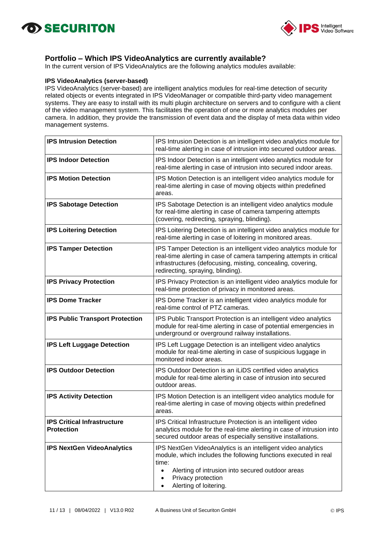



## **Portfolio – Which IPS VideoAnalytics are currently available?**

In the current version of IPS VideoAnalytics are the following analytics modules available:

### **IPS VideoAnalytics (server-based)**

IPS VideoAnalytics (server-based) are intelligent analytics modules for real-time detection of security related objects or events integrated in IPS VideoManager or compatible third-party video management systems. They are easy to install with its multi plugin architecture on servers and to configure with a client of the video management system. This facilitates the operation of one or more analytics modules per camera. In addition, they provide the transmission of event data and the display of meta data within video management systems.

| <b>IPS Intrusion Detection</b>                          | IPS Intrusion Detection is an intelligent video analytics module for<br>real-time alerting in case of intrusion into secured outdoor areas.                                                                                                               |  |
|---------------------------------------------------------|-----------------------------------------------------------------------------------------------------------------------------------------------------------------------------------------------------------------------------------------------------------|--|
| <b>IPS Indoor Detection</b>                             | IPS Indoor Detection is an intelligent video analytics module for<br>real-time alerting in case of intrusion into secured indoor areas.                                                                                                                   |  |
| <b>IPS Motion Detection</b>                             | IPS Motion Detection is an intelligent video analytics module for<br>real-time alerting in case of moving objects within predefined<br>areas.                                                                                                             |  |
| <b>IPS Sabotage Detection</b>                           | IPS Sabotage Detection is an intelligent video analytics module<br>for real-time alerting in case of camera tampering attempts<br>(covering, redirecting, spraying, blinding).                                                                            |  |
| <b>IPS Loitering Detection</b>                          | IPS Loitering Detection is an intelligent video analytics module for<br>real-time alerting in case of loitering in monitored areas.                                                                                                                       |  |
| <b>IPS Tamper Detection</b>                             | IPS Tamper Detection is an intelligent video analytics module for<br>real-time alerting in case of camera tampering attempts in critical<br>infrastructures (defocusing, misting, concealing, covering,<br>redirecting, spraying, blinding).              |  |
| <b>IPS Privacy Protection</b>                           | IPS Privacy Protection is an intelligent video analytics module for<br>real-time protection of privacy in monitored areas.                                                                                                                                |  |
| <b>IPS Dome Tracker</b>                                 | IPS Dome Tracker is an intelligent video analytics module for<br>real-time control of PTZ cameras.                                                                                                                                                        |  |
| <b>IPS Public Transport Protection</b>                  | IPS Public Transport Protection is an intelligent video analytics<br>module for real-time alerting in case of potential emergencies in<br>underground or overground railway installations.                                                                |  |
| <b>IPS Left Luggage Detection</b>                       | IPS Left Luggage Detection is an intelligent video analytics<br>module for real-time alerting in case of suspicious luggage in<br>monitored indoor areas.                                                                                                 |  |
| <b>IPS Outdoor Detection</b>                            | IPS Outdoor Detection is an iLiDS certified video analytics<br>module for real-time alerting in case of intrusion into secured<br>outdoor areas.                                                                                                          |  |
| <b>IPS Activity Detection</b>                           | IPS Motion Detection is an intelligent video analytics module for<br>real-time alerting in case of moving objects within predefined<br>areas.                                                                                                             |  |
| <b>IPS Critical Infrastructure</b><br><b>Protection</b> | IPS Critical Infrastructure Protection is an intelligent video<br>analytics module for the real-time alerting in case of intrusion into<br>secured outdoor areas of especially sensitive installations.                                                   |  |
| <b>IPS NextGen VideoAnalytics</b>                       | IPS NextGen VideoAnalytics is an intelligent video analytics<br>module, which includes the following functions executed in real<br>time:<br>Alerting of intrusion into secured outdoor areas<br>$\bullet$<br>Privacy protection<br>Alerting of loitering. |  |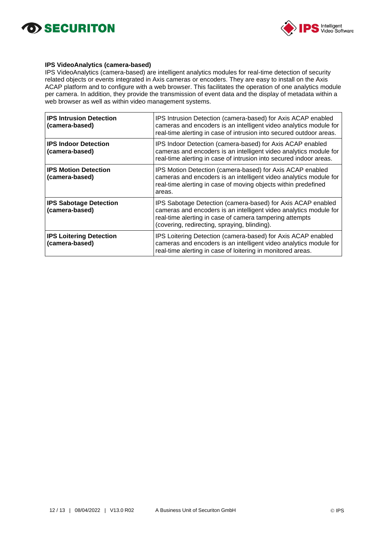



### **IPS VideoAnalytics (camera-based)**

IPS VideoAnalytics (camera-based) are intelligent analytics modules for real-time detection of security related objects or events integrated in Axis cameras or encoders. They are easy to install on the Axis ACAP platform and to configure with a web browser. This facilitates the operation of one analytics module per camera. In addition, they provide the transmission of event data and the display of metadata within a web browser as well as within video management systems.

| <b>IPS Intrusion Detection</b><br>(camera-based) | IPS Intrusion Detection (camera-based) for Axis ACAP enabled<br>cameras and encoders is an intelligent video analytics module for<br>real-time alerting in case of intrusion into secured outdoor areas.                                    |  |
|--------------------------------------------------|---------------------------------------------------------------------------------------------------------------------------------------------------------------------------------------------------------------------------------------------|--|
| <b>IPS Indoor Detection</b><br>(camera-based)    | IPS Indoor Detection (camera-based) for Axis ACAP enabled<br>cameras and encoders is an intelligent video analytics module for<br>real-time alerting in case of intrusion into secured indoor areas.                                        |  |
| <b>IPS Motion Detection</b><br>(camera-based)    | IPS Motion Detection (camera-based) for Axis ACAP enabled<br>cameras and encoders is an intelligent video analytics module for<br>real-time alerting in case of moving objects within predefined<br>areas.                                  |  |
| <b>IPS Sabotage Detection</b><br>(camera-based)  | IPS Sabotage Detection (camera-based) for Axis ACAP enabled<br>cameras and encoders is an intelligent video analytics module for<br>real-time alerting in case of camera tampering attempts<br>(covering, redirecting, spraying, blinding). |  |
| <b>IPS Loitering Detection</b><br>(camera-based) | IPS Loitering Detection (camera-based) for Axis ACAP enabled<br>cameras and encoders is an intelligent video analytics module for<br>real-time alerting in case of loitering in monitored areas.                                            |  |